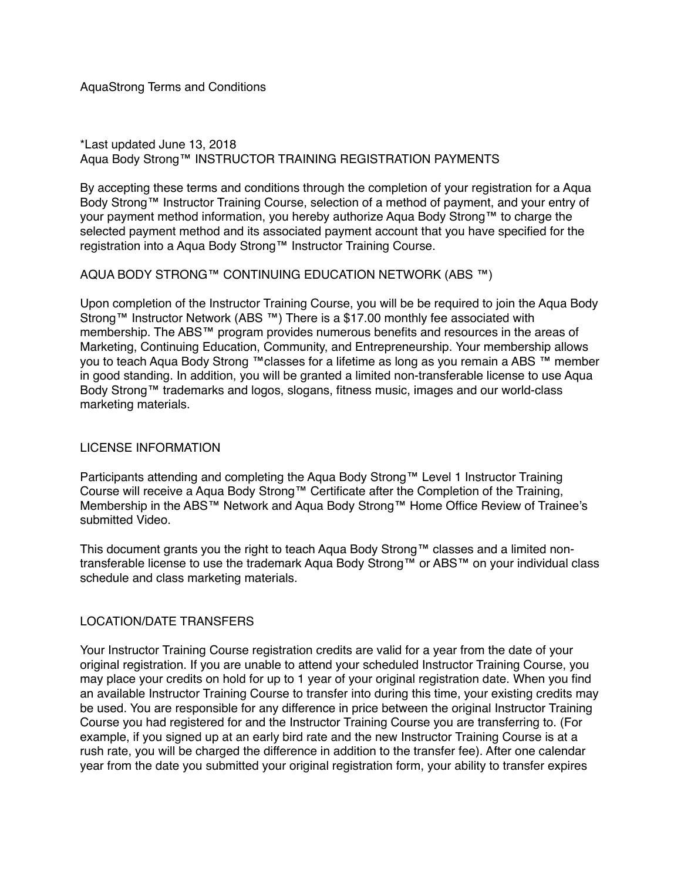AquaStrong Terms and Conditions

#### \*Last updated June 13, 2018 Aqua Body Strong™ INSTRUCTOR TRAINING REGISTRATION PAYMENTS

By accepting these terms and conditions through the completion of your registration for a Aqua Body Strong™ Instructor Training Course, selection of a method of payment, and your entry of your payment method information, you hereby authorize Aqua Body Strong™ to charge the selected payment method and its associated payment account that you have specified for the registration into a Aqua Body Strong™ Instructor Training Course.

#### AQUA BODY STRONG™ CONTINUING EDUCATION NETWORK (ABS ™)

Upon completion of the Instructor Training Course, you will be be required to join the Aqua Body Strong™ Instructor Network (ABS ™) There is a \$17.00 monthly fee associated with membership. The ABS™ program provides numerous benefits and resources in the areas of Marketing, Continuing Education, Community, and Entrepreneurship. Your membership allows you to teach Aqua Body Strong ™classes for a lifetime as long as you remain a ABS ™ member in good standing. In addition, you will be granted a limited non-transferable license to use Aqua Body Strong™ trademarks and logos, slogans, fitness music, images and our world-class marketing materials.

## LICENSE INFORMATION

Participants attending and completing the Aqua Body Strong™ Level 1 Instructor Training Course will receive a Aqua Body Strong™ Certificate after the Completion of the Training, Membership in the ABS™ Network and Aqua Body Strong™ Home Office Review of Trainee's submitted Video.

This document grants you the right to teach Aqua Body Strong™ classes and a limited nontransferable license to use the trademark Aqua Body Strong™ or ABS™ on your individual class schedule and class marketing materials.

## LOCATION/DATE TRANSFERS

Your Instructor Training Course registration credits are valid for a year from the date of your original registration. If you are unable to attend your scheduled Instructor Training Course, you may place your credits on hold for up to 1 year of your original registration date. When you find an available Instructor Training Course to transfer into during this time, your existing credits may be used. You are responsible for any difference in price between the original Instructor Training Course you had registered for and the Instructor Training Course you are transferring to. (For example, if you signed up at an early bird rate and the new Instructor Training Course is at a rush rate, you will be charged the difference in addition to the transfer fee). After one calendar year from the date you submitted your original registration form, your ability to transfer expires